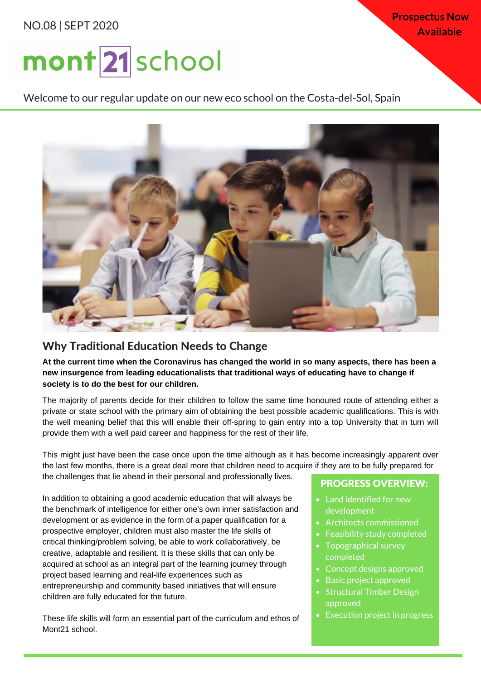## NO.08 | SEPT 2020

**Prospectus Now Available**

# mont 21 school

Welcome to our regular update on our new eco school on the Costa-del-Sol, Spain



# Why Traditional Education Needs to Change

At the current time when the Coronavirus has changed the world in so many aspects, there has been a **new insurgence from leading educationalists that traditional ways of educating have to change if society is to do the best for our children.**

The majority of parents decide for their children to follow the same time honoured route of attending either a private or state school with the primary aim of obtaining the best possible academic qualifications. This is with the well meaning belief that this will enable their off-spring to gain entry into a top University that in turn will provide them with a well paid career and happiness for the rest of their life.

This might just have been the case once upon the time although as it has become increasingly apparent over the last few months, there is a great deal more that children need to acquire if they are to be fully prepared for the challenges that lie ahead in their personal and professionally lives.

In addition to obtaining a good academic education that will always be the benchmark of intelligence for either one's own inner satisfaction and development or as evidence in the form of a paper qualification for a prospective employer, children must also master the life skills of critical thinking/problem solving, be able to work collaboratively, be creative, adaptable and resilient. It is these skills that can only be acquired at school as an integral part of the learning journey through project based learning and real-life experiences such as entrepreneurship and community based initiatives that will ensure children are fully educated for the future.

These life skills will form an essential part of the curriculum and ethos of Mont21 school.

#### PROGRESS OVERVIEW:

- Land identified for new development
- Architects commissioned
- Feasibility study completed
- Topographical survey completed
- Concept designs approved
- Basic project approved
- Structural Timber Design approved
- Execution project in progress